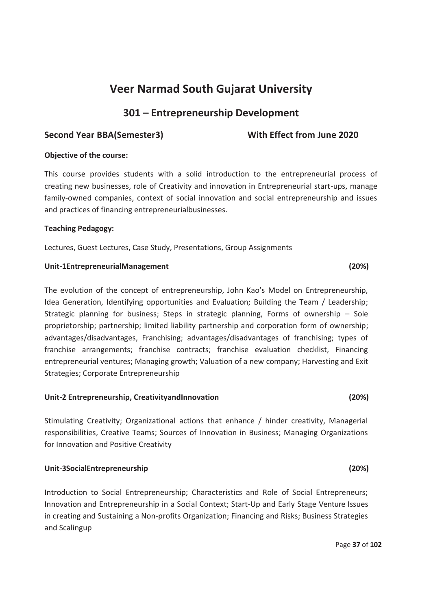# **301 – Entrepreneurship Development**

## Second Year BBA(Semester3) With Effect from June 2020

### **Objective of the course:**

This course provides students with a solid introduction to the entrepreneurial process of creating new businesses, role of Creativity and innovation in Entrepreneurial start-ups, manage family-owned companies, context of social innovation and social entrepreneurship and issues and practices of financing entrepreneurialbusinesses.

### **Teaching Pedagogy:**

Lectures, Guest Lectures, Case Study, Presentations, Group Assignments

#### **Unit-1EntrepreneurialManagement (20%)**

The evolution of the concept of entrepreneurship, John Kao's Model on Entrepreneurship, Idea Generation, Identifying opportunities and Evaluation; Building the Team / Leadership; Strategic planning for business; Steps in strategic planning, Forms of ownership – Sole proprietorship; partnership; limited liability partnership and corporation form of ownership; advantages/disadvantages, Franchising; advantages/disadvantages of franchising; types of franchise arrangements; franchise contracts; franchise evaluation checklist, Financing entrepreneurial ventures; Managing growth; Valuation of a new company; Harvesting and Exit Strategies; Corporate Entrepreneurship

### **Unit-2 Entrepreneurship, CreativityandInnovation (20%)**

Stimulating Creativity; Organizational actions that enhance / hinder creativity, Managerial responsibilities, Creative Teams; Sources of Innovation in Business; Managing Organizations for Innovation and Positive Creativity

### **Unit-3SocialEntrepreneurship (20%)**

Introduction to Social Entrepreneurship; Characteristics and Role of Social Entrepreneurs; Innovation and Entrepreneurship in a Social Context; Start-Up and Early Stage Venture Issues in creating and Sustaining a Non-profits Organization; Financing and Risks; Business Strategies and Scalingup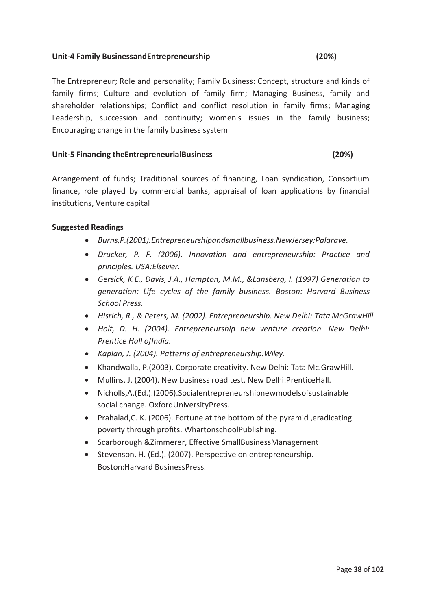### **Unit-4 Family BusinessandEntrepreneurship (20%)**

# The Entrepreneur; Role and personality; Family Business: Concept, structure and kinds of family firms; Culture and evolution of family firm; Managing Business, family and shareholder relationships; Conflict and conflict resolution in family firms; Managing Leadership, succession and continuity; women's issues in the family business; Encouraging change in the family business system

#### **Unit-5 Financing theEntrepreneurialBusiness (20%)**

Arrangement of funds; Traditional sources of financing, Loan syndication, Consortium finance, role played by commercial banks, appraisal of loan applications by financial institutions, Venture capital

### **Suggested Readings**

- · *Burns,P.(2001).Entrepreneurshipandsmallbusiness.NewJersey:Palgrave.*
- · *Drucker, P. F. (2006). Innovation and entrepreneurship: Practice and principles. USA:Elsevier.*
- · *Gersick, K.E., Davis, J.A., Hampton, M.M., &Lansberg, I. (1997) Generation to generation: Life cycles of the family business. Boston: Harvard Business School Press.*
- · *Hisrich, R., & Peters, M. (2002). Entrepreneurship. New Delhi: Tata McGrawHill.*
- · *Holt, D. H. (2004). Entrepreneurship new venture creation. New Delhi: Prentice Hall ofIndia.*
- · *Kaplan, J. (2004). Patterns of entrepreneurship.Wiley.*
- · Khandwalla, P.(2003). Corporate creativity. New Delhi: Tata Mc.GrawHill.
- · Mullins, J. (2004). New business road test. New Delhi:PrenticeHall.
- · Nicholls,A.(Ed.).(2006).Socialentrepreneurshipnewmodelsofsustainable social change. OxfordUniversityPress.
- · Prahalad,C. K. (2006). Fortune at the bottom of the pyramid ,eradicating poverty through profits. WhartonschoolPublishing.
- · Scarborough &Zimmerer, Effective SmallBusinessManagement
- · Stevenson, H. (Ed.). (2007). Perspective on entrepreneurship. Boston:Harvard BusinessPress.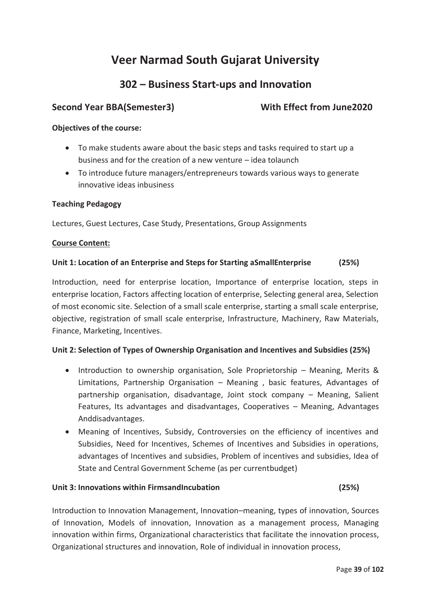# **302 – Business Start-ups and Innovation**

# Second Year BBA(Semester3) With Effect from June2020

### **Objectives of the course:**

- · To make students aware about the basic steps and tasks required to start up a business and for the creation of a new venture – idea tolaunch
- · To introduce future managers/entrepreneurs towards various ways to generate innovative ideas inbusiness

### **Teaching Pedagogy**

Lectures, Guest Lectures, Case Study, Presentations, Group Assignments

### **Course Content:**

### **Unit 1: Location of an Enterprise and Steps for Starting aSmallEnterprise (25%)**

Introduction, need for enterprise location, Importance of enterprise location, steps in enterprise location, Factors affecting location of enterprise, Selecting general area, Selection of most economic site. Selection of a small scale enterprise, starting a small scale enterprise, objective, registration of small scale enterprise, Infrastructure, Machinery, Raw Materials, Finance, Marketing, Incentives.

## **Unit 2: Selection of Types of Ownership Organisation and Incentives and Subsidies (25%)**

- · Introduction to ownership organisation, Sole Proprietorship Meaning, Merits & Limitations, Partnership Organisation – Meaning , basic features, Advantages of partnership organisation, disadvantage, Joint stock company – Meaning, Salient Features, Its advantages and disadvantages, Cooperatives – Meaning, Advantages Anddisadvantages.
- · Meaning of Incentives, Subsidy, Controversies on the efficiency of incentives and Subsidies, Need for Incentives, Schemes of Incentives and Subsidies in operations, advantages of Incentives and subsidies, Problem of incentives and subsidies, Idea of State and Central Government Scheme (as per currentbudget)

### **Unit 3: Innovations within FirmsandIncubation (25%)**

Introduction to Innovation Management, Innovation–meaning, types of innovation, Sources of Innovation, Models of innovation, Innovation as a management process, Managing innovation within firms, Organizational characteristics that facilitate the innovation process, Organizational structures and innovation, Role of individual in innovation process,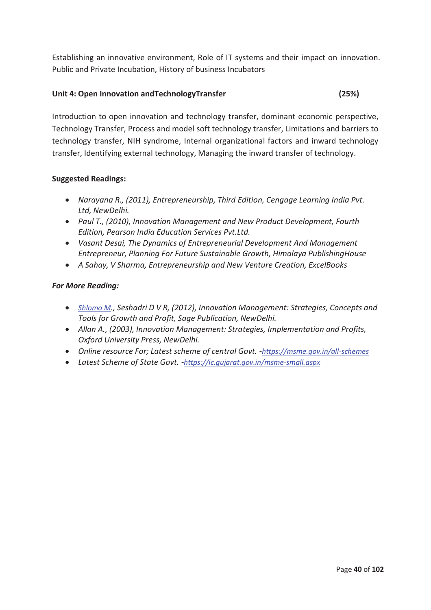Establishing an innovative environment, Role of IT systems and their impact on innovation. Public and Private Incubation, History of business Incubators

## **Unit 4: Open Innovation andTechnologyTransfer (25%)**

Introduction to open innovation and technology transfer, dominant economic perspective, Technology Transfer, Process and model soft technology transfer, Limitations and barriers to technology transfer, NIH syndrome, Internal organizational factors and inward technology transfer, Identifying external technology, Managing the inward transfer of technology.

## **Suggested Readings:**

- · *Narayana R., (2011), Entrepreneurship, Third Edition, Cengage Learning India Pvt. Ltd, NewDelhi.*
- · *Paul T., (2010), Innovation Management and New Product Development, Fourth Edition, Pearson India Education Services Pvt.Ltd.*
- · *Vasant Desai, The Dynamics of Entrepreneurial Development And Management Entrepreneur, Planning For Future Sustainable Growth, Himalaya PublishingHouse*
- · *A Sahay, V Sharma, Entrepreneurship and New Venture Creation, ExcelBooks*

## *For More Reading:*

- · *Shlomo M., Seshadri D V R, (2012), Innovation Management: Strategies, Concepts and Tools for Growth and Profit, Sage Publication, NewDelhi.*
- · *Allan A., (2003), Innovation Management: Strategies, Implementation and Profits, Oxford University Press, NewDelhi.*
- · *Online resource For; Latest scheme of central Govt. -https://msme.gov.in/all-schemes*
- · *Latest Scheme of State Govt. -https://ic.gujarat.gov.in/msme-small.aspx*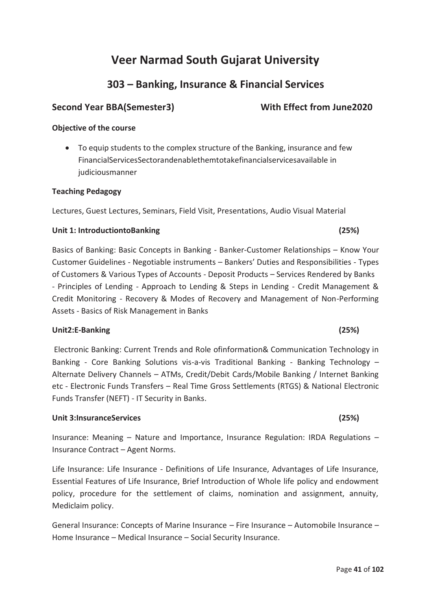# **303 – Banking, Insurance & Financial Services**

# Second Year BBA(Semester3) With Effect from June2020

## **Objective of the course**

· To equip students to the complex structure of the Banking, insurance and few FinancialServicesSectorandenablethemtotakefinancialservicesavailable in iudiciousmanner

## **Teaching Pedagogy**

Lectures, Guest Lectures, Seminars, Field Visit, Presentations, Audio Visual Material

## **Unit 1: IntroductiontoBanking (25%)**

Basics of Banking: Basic Concepts in Banking - Banker-Customer Relationships – Know Your Customer Guidelines - Negotiable instruments – Bankers' Duties and Responsibilities - Types of Customers & Various Types of Accounts - Deposit Products – Services Rendered by Banks - Principles of Lending - Approach to Lending & Steps in Lending - Credit Management & Credit Monitoring - Recovery & Modes of Recovery and Management of Non-Performing Assets - Basics of Risk Management in Banks

## **Unit2:E-Banking (25%)**

Electronic Banking: Current Trends and Role ofinformation& Communication Technology in Banking - Core Banking Solutions vis-a-vis Traditional Banking - Banking Technology – Alternate Delivery Channels – ATMs, Credit/Debit Cards/Mobile Banking / Internet Banking etc - Electronic Funds Transfers – Real Time Gross Settlements (RTGS) & National Electronic Funds Transfer (NEFT) - IT Security in Banks.

## **Unit 3:InsuranceServices (25%)**

Insurance: Meaning – Nature and Importance, Insurance Regulation: IRDA Regulations – Insurance Contract – Agent Norms.

Life Insurance: Life Insurance - Definitions of Life Insurance, Advantages of Life Insurance, Essential Features of Life Insurance, Brief Introduction of Whole life policy and endowment policy, procedure for the settlement of claims, nomination and assignment, annuity, Mediclaim policy.

General Insurance: Concepts of Marine Insurance – Fire Insurance – Automobile Insurance – Home Insurance – Medical Insurance – Social Security Insurance.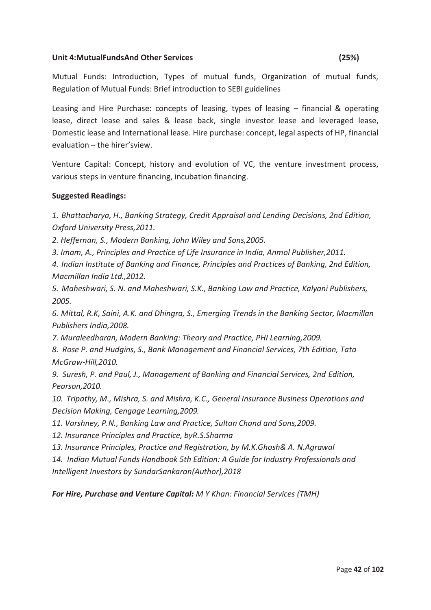### **Unit 4:MutualFundsAnd Other Services (25%)**

Mutual Funds: Introduction, Types of mutual funds, Organization of mutual funds, Regulation of Mutual Funds: Brief introduction to SEBI guidelines

Leasing and Hire Purchase: concepts of leasing, types of leasing – financial & operating lease, direct lease and sales & lease back, single investor lease and leveraged lease, Domestic lease and International lease. Hire purchase: concept, legal aspects of HP, financial evaluation – the hirer'sview.

Venture Capital: Concept, history and evolution of VC, the venture investment process, various steps in venture financing, incubation financing.

## **Suggested Readings:**

*1. Bhattacharya, H., Banking Strategy, Credit Appraisal and Lending Decisions, 2nd Edition, Oxford University Press,2011.* 

*2. Heffernan, S., Modern Banking, John Wiley and Sons,2005.*

*3. Imam, A., Principles and Practice of Life Insurance in India, Anmol Publisher,2011.* 

*4. Indian Institute of Banking and Finance, Principles and Practices of Banking, 2nd Edition, Macmillan India Ltd.,2012.* 

*5. Maheshwari, S. N. and Maheshwari, S.K., Banking Law and Practice, Kalyani Publishers, 2005.* 

*6. Mittal, R.K, Saini, A.K. and Dhingra, S., Emerging Trends in the Banking Sector, Macmillan Publishers India,2008.* 

*7. Muraleedharan, Modern Banking: Theory and Practice, PHI Learning,2009.* 

*8. Rose P. and Hudgins, S., Bank Management and Financial Services, 7th Edition, Tata McGraw-Hill,2010.* 

*9. Suresh, P. and Paul, J., Management of Banking and Financial Services, 2nd Edition, Pearson,2010.* 

*10. Tripathy, M., Mishra, S. and Mishra, K.C., General Insurance Business Operations and Decision Making, Cengage Learning,2009.* 

*11. Varshney, P.N., Banking Law and Practice, Sultan Chand and Sons,2009.* 

*12. Insurance Principles and Practice, byR.S.Sharma* 

*13. Insurance Principles, Practice and Registration, by M.K.Ghosh& A. N.Agrawal* 

*14. Indian Mutual Funds Handbook 5th Edition: A Guide for Industry Professionals and Intelligent Investors by SundarSankaran(Author),2018* 

*For Hire, Purchase and Venture Capital: M Y Khan: Financial Services (TMH)*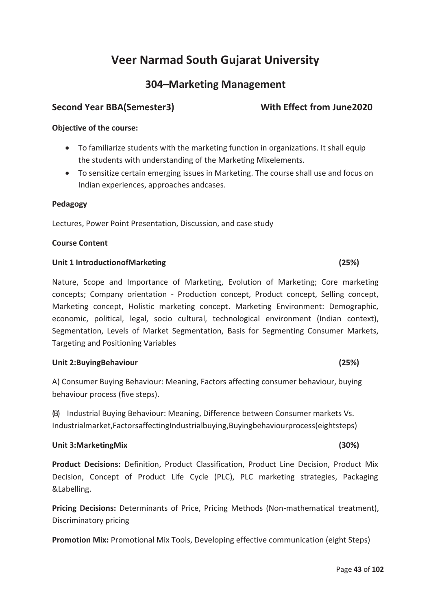# **304–Marketing Management**

# Second Year BBA(Semester3) With Effect from June2020

# **Objective of the course:**

- · To familiarize students with the marketing function in organizations. It shall equip the students with understanding of the Marketing Mixelements.
- · To sensitize certain emerging issues in Marketing. The course shall use and focus on Indian experiences, approaches andcases.

#### **Pedagogy**

Lectures, Power Point Presentation, Discussion, and case study

### **Course Content**

#### **Unit 1 IntroductionofMarketing (25%)**

Nature, Scope and Importance of Marketing, Evolution of Marketing; Core marketing concepts; Company orientation - Production concept, Product concept, Selling concept, Marketing concept, Holistic marketing concept. Marketing Environment: Demographic, economic, political, legal, socio cultural, technological environment (Indian context), Segmentation, Levels of Market Segmentation, Basis for Segmenting Consumer Markets, Targeting and Positioning Variables

### **Unit 2:BuyingBehaviour (25%)**

A) Consumer Buying Behaviour: Meaning, Factors affecting consumer behaviour, buying behaviour process (five steps).

(B) Industrial Buying Behaviour: Meaning, Difference between Consumer markets Vs. Industrialmarket,FactorsaffectingIndustrialbuying,Buyingbehaviourprocess(eightsteps)

### **Unit 3:MarketingMix (30%)**

**Product Decisions:** Definition, Product Classification, Product Line Decision, Product Mix Decision, Concept of Product Life Cycle (PLC), PLC marketing strategies, Packaging &Labelling.

**Pricing Decisions:** Determinants of Price, Pricing Methods (Non-mathematical treatment), Discriminatory pricing

**Promotion Mix:** Promotional Mix Tools, Developing effective communication (eight Steps)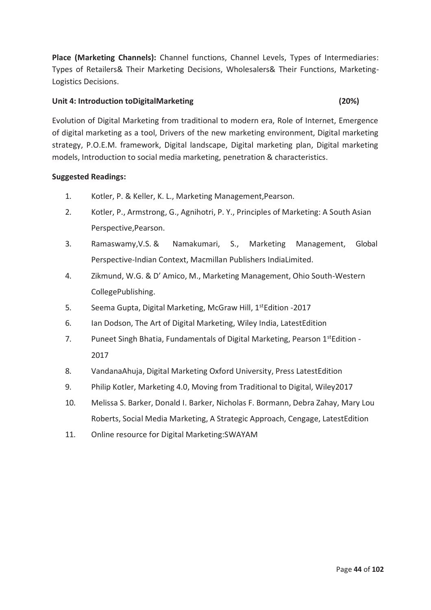**Place (Marketing Channels):** Channel functions, Channel Levels, Types of Intermediaries: Types of Retailers& Their Marketing Decisions, Wholesalers& Their Functions, Marketing-Logistics Decisions.

### **Unit 4: Introduction toDigitalMarketing (20%)**

Evolution of Digital Marketing from traditional to modern era, Role of Internet, Emergence of digital marketing as a tool, Drivers of the new marketing environment, Digital marketing strategy, P.O.E.M. framework, Digital landscape, Digital marketing plan, Digital marketing models, Introduction to social media marketing, penetration & characteristics.

### **Suggested Readings:**

- 1. Kotler, P. & Keller, K. L., Marketing Management,Pearson.
- 2. Kotler, P., Armstrong, G., Agnihotri, P. Y., Principles of Marketing: A South Asian Perspective,Pearson.
- 3. Ramaswamy,V.S. & Namakumari, S., Marketing Management, Global Perspective-Indian Context, Macmillan Publishers IndiaLimited.
- 4. Zikmund, W.G. & D' Amico, M., Marketing Management, Ohio South-Western CollegePublishing.
- 5. Seema Gupta, Digital Marketing, McGraw Hill, 1<sup>st</sup>Edition -2017
- 6. Ian Dodson, The Art of Digital Marketing, Wiley India, LatestEdition
- 7. Puneet Singh Bhatia, Fundamentals of Digital Marketing, Pearson  $1^{st}$  Edition -2017
- 8. VandanaAhuja, Digital Marketing Oxford University, Press LatestEdition
- 9. Philip Kotler, Marketing 4.0, Moving from Traditional to Digital, Wiley2017
- 10. Melissa S. Barker, Donald I. Barker, Nicholas F. Bormann, Debra Zahay, Mary Lou Roberts, Social Media Marketing, A Strategic Approach, Cengage, LatestEdition
- 11. Online resource for Digital Marketing:SWAYAM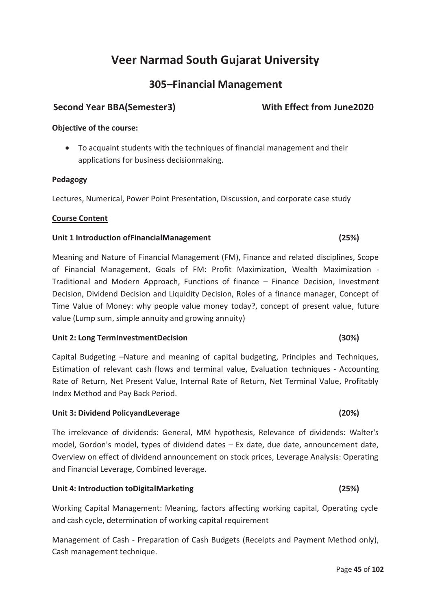# **305–Financial Management**

## Second Year BBA(Semester3) With Effect from June2020

### **Objective of the course:**

· To acquaint students with the techniques of financial management and their applications for business decisionmaking.

#### **Pedagogy**

Lectures, Numerical, Power Point Presentation, Discussion, and corporate case study

#### **Course Content**

#### **Unit 1 Introduction ofFinancialManagement (25%)**

Meaning and Nature of Financial Management (FM), Finance and related disciplines, Scope of Financial Management, Goals of FM: Profit Maximization, Wealth Maximization - Traditional and Modern Approach, Functions of finance – Finance Decision, Investment Decision, Dividend Decision and Liquidity Decision, Roles of a finance manager, Concept of Time Value of Money: why people value money today?, concept of present value, future value (Lump sum, simple annuity and growing annuity)

#### **Unit 2: Long TermInvestmentDecision (30%)**

Capital Budgeting –Nature and meaning of capital budgeting, Principles and Techniques, Estimation of relevant cash flows and terminal value, Evaluation techniques - Accounting Rate of Return, Net Present Value, Internal Rate of Return, Net Terminal Value, Profitably Index Method and Pay Back Period.

#### **Unit 3: Dividend PolicyandLeverage (20%)**

The irrelevance of dividends: General, MM hypothesis, Relevance of dividends: Walter's model, Gordon's model, types of dividend dates – Ex date, due date, announcement date, Overview on effect of dividend announcement on stock prices, Leverage Analysis: Operating and Financial Leverage, Combined leverage.

#### **Unit 4: Introduction toDigitalMarketing (25%)**

Working Capital Management: Meaning, factors affecting working capital, Operating cycle and cash cycle, determination of working capital requirement

Management of Cash - Preparation of Cash Budgets (Receipts and Payment Method only), Cash management technique.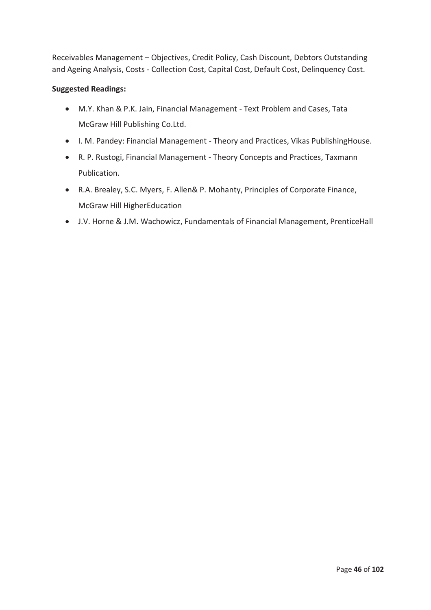Receivables Management – Objectives, Credit Policy, Cash Discount, Debtors Outstanding and Ageing Analysis, Costs - Collection Cost, Capital Cost, Default Cost, Delinquency Cost.

## **Suggested Readings:**

- · M.Y. Khan & P.K. Jain, Financial Management Text Problem and Cases, Tata McGraw Hill Publishing Co.Ltd.
- · I. M. Pandey: Financial Management Theory and Practices, Vikas PublishingHouse.
- · R. P. Rustogi, Financial Management Theory Concepts and Practices, Taxmann Publication.
- · R.A. Brealey, S.C. Myers, F. Allen& P. Mohanty, Principles of Corporate Finance, McGraw Hill HigherEducation
- · J.V. Horne & J.M. Wachowicz, Fundamentals of Financial Management, PrenticeHall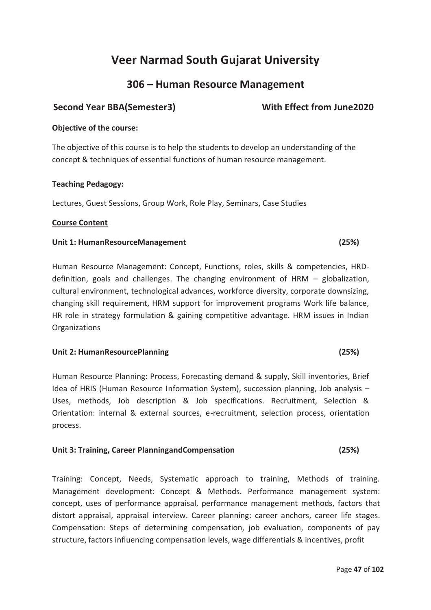# **306 – Human Resource Management**

# Second Year BBA(Semester3) With Effect from June2020

## **Objective of the course:**

The objective of this course is to help the students to develop an understanding of the concept & techniques of essential functions of human resource management.

### **Teaching Pedagogy:**

Lectures, Guest Sessions, Group Work, Role Play, Seminars, Case Studies

### **Course Content**

### **Unit 1: HumanResourceManagement (25%)**

Human Resource Management: Concept, Functions, roles, skills & competencies, HRDdefinition, goals and challenges. The changing environment of HRM – globalization, cultural environment, technological advances, workforce diversity, corporate downsizing, changing skill requirement, HRM support for improvement programs Work life balance, HR role in strategy formulation & gaining competitive advantage. HRM issues in Indian **Organizations** 

### **Unit 2: HumanResourcePlanning (25%)**

Human Resource Planning: Process, Forecasting demand & supply, Skill inventories, Brief Idea of HRIS (Human Resource Information System), succession planning, Job analysis – Uses, methods, Job description & Job specifications. Recruitment, Selection & Orientation: internal & external sources, e-recruitment, selection process, orientation process.

### **Unit 3: Training, Career PlanningandCompensation (25%)**

Training: Concept, Needs, Systematic approach to training, Methods of training. Management development: Concept & Methods. Performance management system: concept, uses of performance appraisal, performance management methods, factors that distort appraisal, appraisal interview. Career planning: career anchors, career life stages. Compensation: Steps of determining compensation, job evaluation, components of pay structure, factors influencing compensation levels, wage differentials & incentives, profit